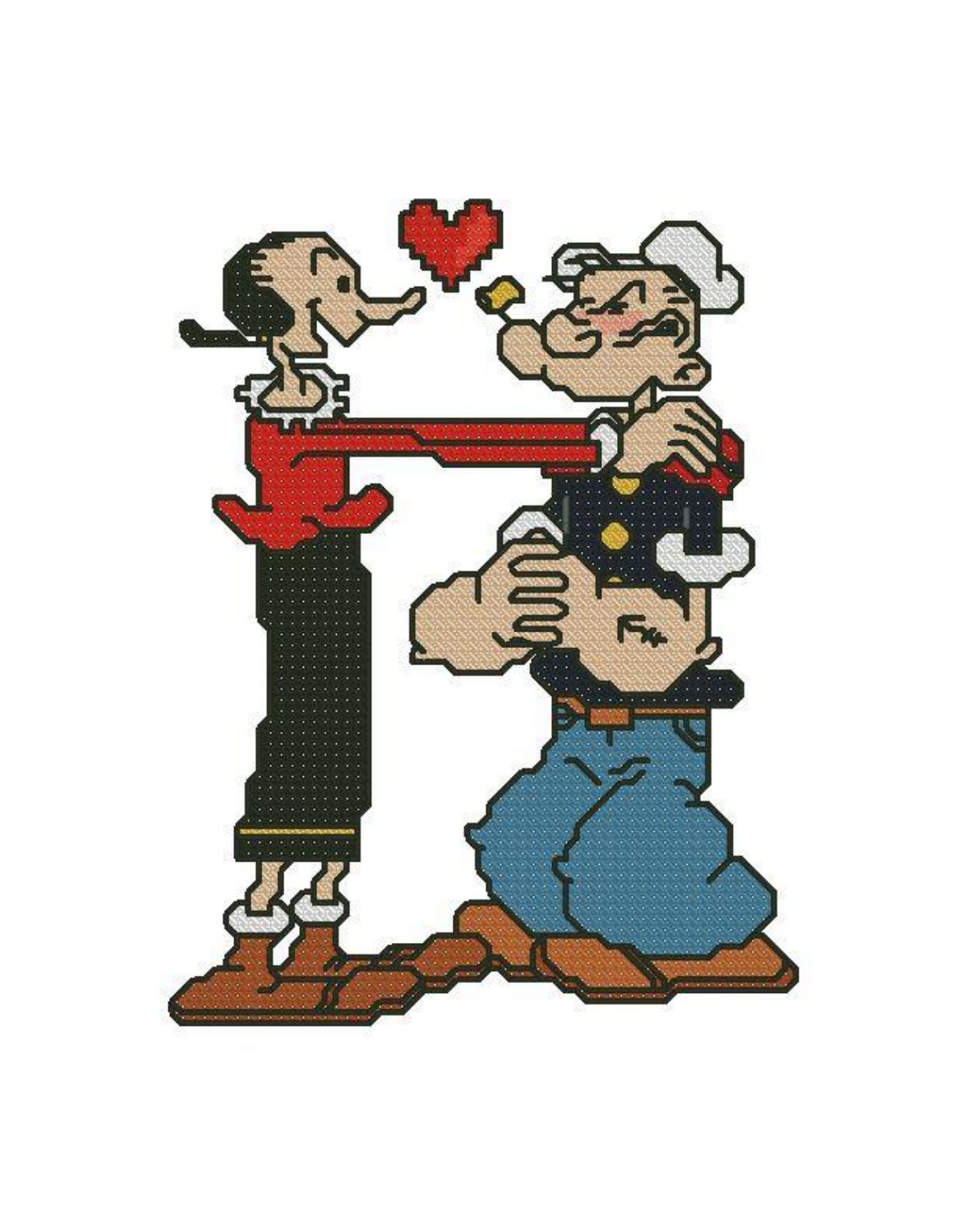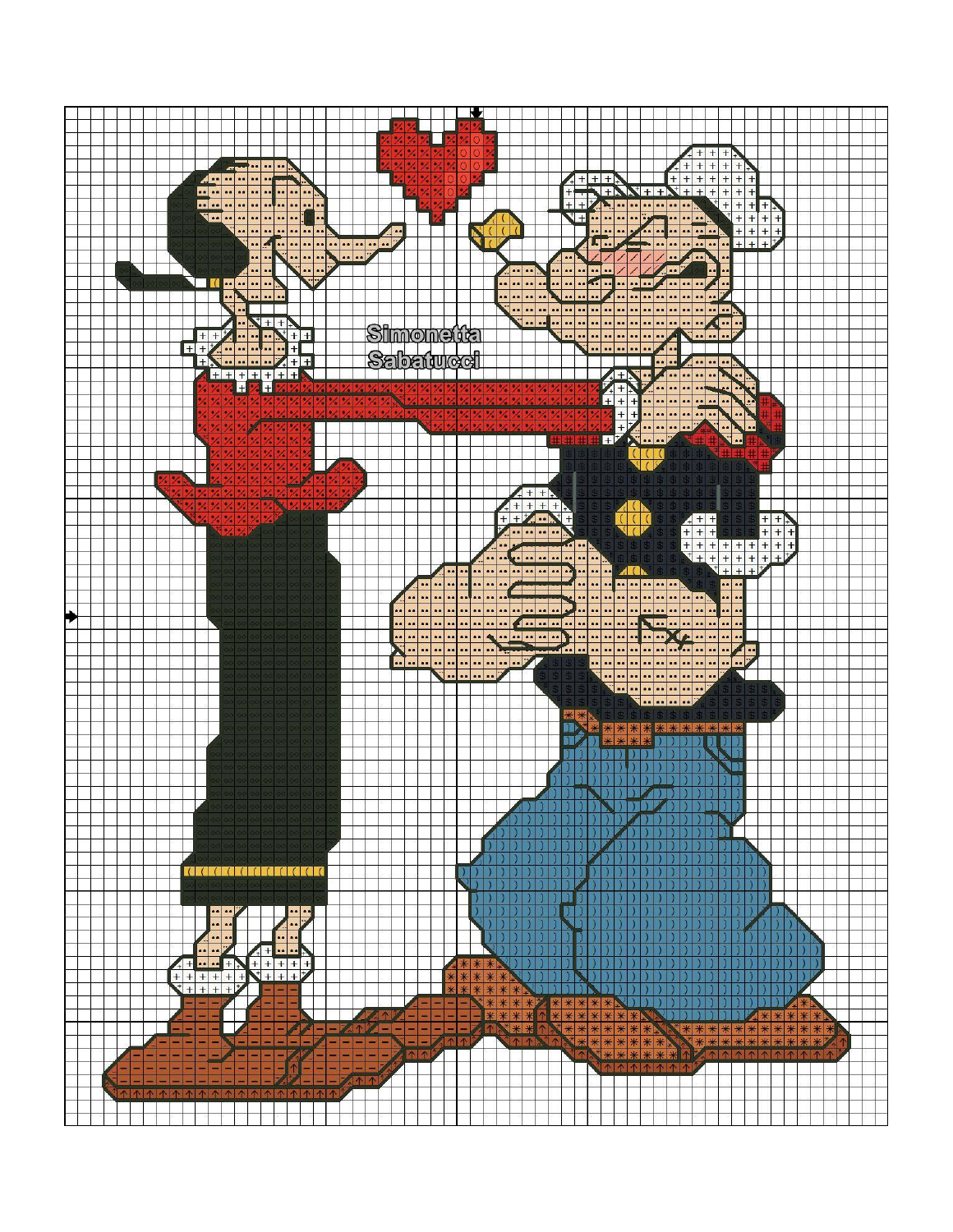